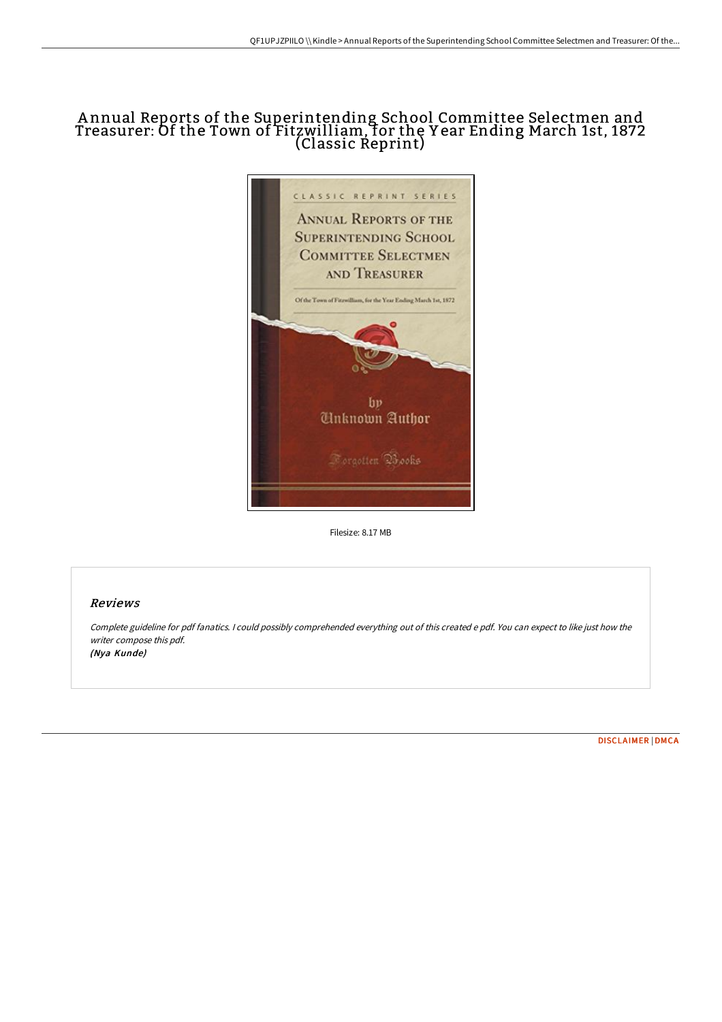# A nnual Reports of the Superintending School Committee Selectmen and Treasurer: Of the Town of Fitzwilliam, for the Y ear Ending March 1st, 1872 (Classic Reprint)



Filesize: 8.17 MB

## Reviews

Complete guideline for pdf fanatics. <sup>I</sup> could possibly comprehended everything out of this created <sup>e</sup> pdf. You can expect to like just how the writer compose this pdf. (Nya Kunde)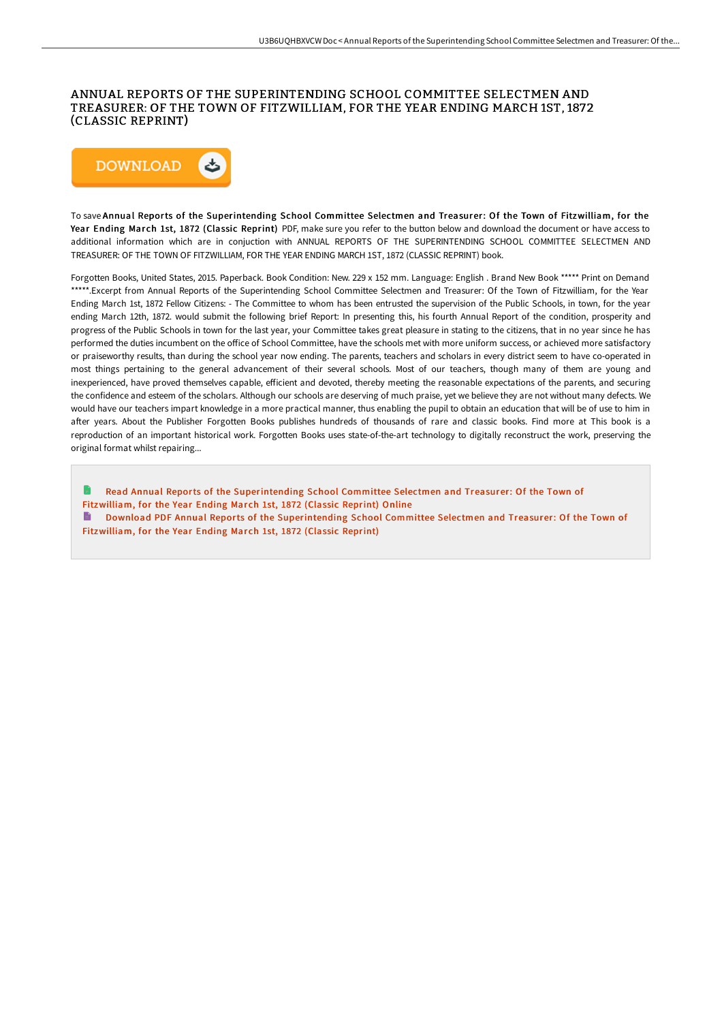### ANNUAL REPORTS OF THE SUPERINTENDING SCHOOL COMMITTEE SELECTMEN AND TREASURER: OF THE TOWN OF FITZWILLIAM, FOR THE YEAR ENDING MARCH 1ST, 1872 (CLASSIC REPRINT)



To save Annual Reports of the Superintending School Committee Selectmen and Treasurer: Of the Town of Fitzwilliam, for the Year Ending March 1st, 1872 (Classic Reprint) PDF, make sure you refer to the button below and download the document or have access to additional information which are in conjuction with ANNUAL REPORTS OF THE SUPERINTENDING SCHOOL COMMITTEE SELECTMEN AND TREASURER: OF THE TOWN OF FITZWILLIAM, FOR THE YEAR ENDING MARCH 1ST, 1872 (CLASSIC REPRINT) book.

Forgotten Books, United States, 2015. Paperback. Book Condition: New. 229 x 152 mm. Language: English . Brand New Book \*\*\*\*\* Print on Demand \*\*\*\*\*.Excerpt from Annual Reports of the Superintending School Committee Selectmen and Treasurer: Of the Town of Fitzwilliam, for the Year Ending March 1st, 1872 Fellow Citizens: - The Committee to whom has been entrusted the supervision of the Public Schools, in town, for the year ending March 12th, 1872. would submit the following brief Report: In presenting this, his fourth Annual Report of the condition, prosperity and progress of the Public Schools in town for the last year, your Committee takes great pleasure in stating to the citizens, that in no year since he has performed the duties incumbent on the office of School Committee, have the schools met with more uniform success, or achieved more satisfactory or praiseworthy results, than during the school year now ending. The parents, teachers and scholars in every district seem to have co-operated in most things pertaining to the general advancement of their several schools. Most of our teachers, though many of them are young and inexperienced, have proved themselves capable, efficient and devoted, thereby meeting the reasonable expectations of the parents, and securing the confidence and esteem of the scholars. Although our schools are deserving of much praise, yet we believe they are not without many defects. We would have our teachers impart knowledge in a more practical manner, thus enabling the pupil to obtain an education that will be of use to him in after years. About the Publisher Forgotten Books publishes hundreds of thousands of rare and classic books. Find more at This book is a reproduction of an important historical work. Forgotten Books uses state-of-the-art technology to digitally reconstruct the work, preserving the original format whilst repairing...

Read Annual Reports of the [Superintending](http://albedo.media/annual-reports-of-the-superintending-school-comm.html) School Committee Selectmen and Treasurer: Of the Town of Fitzwilliam, for the Year Ending March 1st, 1872 (Classic Reprint) Online Download PDF Annual Reports of the [Superintending](http://albedo.media/annual-reports-of-the-superintending-school-comm.html) School Committee Selectmen and Treasurer: Of the Town of Fitzwilliam, for the Year Ending March 1st, 1872 (Classic Reprint)